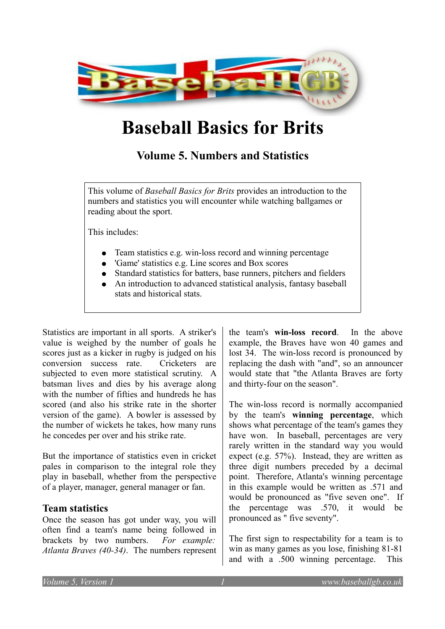

# **Baseball Basics for Brits**

# **Volume 5. Numbers and Statistics**

This volume of *Baseball Basics for Brits* provides an introduction to the numbers and statistics you will encounter while watching ballgames or reading about the sport.

This includes:

- Team statistics e.g. win-loss record and winning percentage
- 'Game' statistics e.g. Line scores and Box scores
- Standard statistics for batters, base runners, pitchers and fielders
- An introduction to advanced statistical analysis, fantasy baseball stats and historical stats.

Statistics are important in all sports. A striker's value is weighed by the number of goals he scores just as a kicker in rugby is judged on his conversion success rate. Cricketers are subjected to even more statistical scrutiny. A batsman lives and dies by his average along with the number of fifties and hundreds he has scored (and also his strike rate in the shorter version of the game). A bowler is assessed by the number of wickets he takes, how many runs he concedes per over and his strike rate.

But the importance of statistics even in cricket pales in comparison to the integral role they play in baseball, whether from the perspective of a player, manager, general manager or fan.

# **Team statistics**

Once the season has got under way, you will often find a team's name being followed in brackets by two numbers. *For example: Atlanta Braves (40-34)*. The numbers represent the team's **win-loss record**. In the above example, the Braves have won 40 games and lost 34. The win-loss record is pronounced by replacing the dash with "and", so an announcer would state that "the Atlanta Braves are forty and thirty-four on the season".

The win-loss record is normally accompanied by the team's **winning percentage**, which shows what percentage of the team's games they have won. In baseball, percentages are very rarely written in the standard way you would expect (e.g. 57%). Instead, they are written as three digit numbers preceded by a decimal point. Therefore, Atlanta's winning percentage in this example would be written as .571 and would be pronounced as "five seven one". If the percentage was .570, it would be pronounced as " five seventy".

The first sign to respectability for a team is to win as many games as you lose, finishing 81-81 and with a .500 winning percentage. This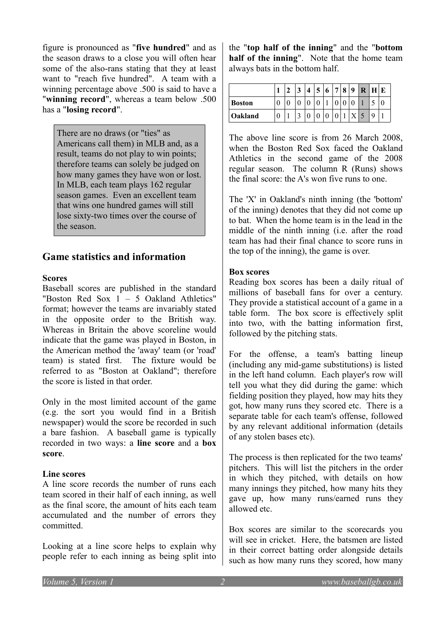figure is pronounced as "**five hundred**" and as the season draws to a close you will often hear some of the also-rans stating that they at least want to "reach five hundred". A team with a winning percentage above .500 is said to have a "**winning record**", whereas a team below .500 has a "**losing record**".

There are no draws (or "ties" as Americans call them) in MLB and, as a result, teams do not play to win points; therefore teams can solely be judged on how many games they have won or lost. In MLB, each team plays 162 regular season games. Even an excellent team that wins one hundred games will still lose sixty-two times over the course of the season.

# **Game statistics and information**

#### **Scores**

Baseball scores are published in the standard "Boston Red Sox 1 – 5 Oakland Athletics" format; however the teams are invariably stated in the opposite order to the British way. Whereas in Britain the above scoreline would indicate that the game was played in Boston, in the American method the 'away' team (or 'road' team) is stated first. The fixture would be referred to as "Boston at Oakland"; therefore the score is listed in that order.

Only in the most limited account of the game (e.g. the sort you would find in a British newspaper) would the score be recorded in such a bare fashion. A baseball game is typically recorded in two ways: a **line score** and a **box score**.

#### **Line scores**

A line score records the number of runs each team scored in their half of each inning, as well as the final score, the amount of hits each team accumulated and the number of errors they committed.

Looking at a line score helps to explain why people refer to each inning as being split into

the "**top half of the inning**" and the "**bottom half of the inning**". Note that the home team always bats in the bottom half.

|               |   | 3 | Δ | 5 | $6\phantom{.}6$ | $\overline{7}$ | 8 | 9 | R | Н                        | ЧE |
|---------------|---|---|---|---|-----------------|----------------|---|---|---|--------------------------|----|
| <b>Boston</b> |   |   |   |   |                 |                |   |   |   | $\overline{\phantom{a}}$ |    |
| Oakland       | 0 | ◠ |   |   |                 |                |   |   |   | q                        |    |

The above line score is from 26 March 2008, when the Boston Red Sox faced the Oakland Athletics in the second game of the 2008 regular season. The column R (Runs) shows the final score: the A's won five runs to one.

The 'X' in Oakland's ninth inning (the 'bottom' of the inning) denotes that they did not come up to bat. When the home team is in the lead in the middle of the ninth inning (i.e. after the road team has had their final chance to score runs in the top of the inning), the game is over.

#### **Box scores**

Reading box scores has been a daily ritual of millions of baseball fans for over a century. They provide a statistical account of a game in a table form. The box score is effectively split into two, with the batting information first, followed by the pitching stats.

For the offense, a team's batting lineup (including any mid-game substitutions) is listed in the left hand column. Each player's row will tell you what they did during the game: which fielding position they played, how may hits they got, how many runs they scored etc. There is a separate table for each team's offense, followed by any relevant additional information (details of any stolen bases etc).

The process is then replicated for the two teams' pitchers. This will list the pitchers in the order in which they pitched, with details on how many innings they pitched, how many hits they gave up, how many runs/earned runs they allowed etc.

Box scores are similar to the scorecards you will see in cricket. Here, the batsmen are listed in their correct batting order alongside details such as how many runs they scored, how many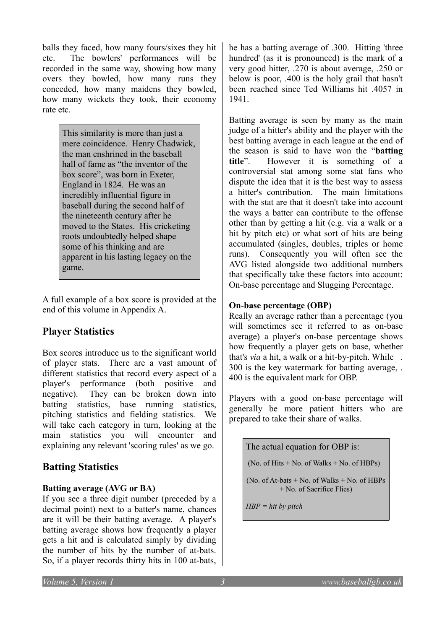balls they faced, how many fours/sixes they hit etc. The bowlers' performances will be recorded in the same way, showing how many overs they bowled, how many runs they conceded, how many maidens they bowled, how many wickets they took, their economy rate etc.

> This similarity is more than just a mere coincidence. Henry Chadwick, the man enshrined in the baseball hall of fame as "the inventor of the box score", was born in Exeter, England in 1824. He was an incredibly influential figure in baseball during the second half of the nineteenth century after he moved to the States. His cricketing roots undoubtedly helped shape some of his thinking and are apparent in his lasting legacy on the game.

A full example of a box score is provided at the end of this volume in Appendix A.

# **Player Statistics**

Box scores introduce us to the significant world of player stats. There are a vast amount of different statistics that record every aspect of a player's performance (both positive and negative). They can be broken down into batting statistics, base running statistics, pitching statistics and fielding statistics. We will take each category in turn, looking at the main statistics you will encounter and explaining any relevant 'scoring rules' as we go.

# **Batting Statistics**

# **Batting average (AVG or BA)**

If you see a three digit number (preceded by a decimal point) next to a batter's name, chances are it will be their batting average. A player's batting average shows how frequently a player gets a hit and is calculated simply by dividing the number of hits by the number of at-bats. So, if a player records thirty hits in 100 at-bats, he has a batting average of .300. Hitting 'three hundred' (as it is pronounced) is the mark of a very good hitter, .270 is about average, .250 or below is poor, .400 is the holy grail that hasn't been reached since Ted Williams hit .4057 in 1941.

Batting average is seen by many as the main judge of a hitter's ability and the player with the best batting average in each league at the end of the season is said to have won the "**batting title**". However it is something of a controversial stat among some stat fans who dispute the idea that it is the best way to assess a hitter's contribution. The main limitations with the stat are that it doesn't take into account the ways a batter can contribute to the offense other than by getting a hit (e.g. via a walk or a hit by pitch etc) or what sort of hits are being accumulated (singles, doubles, triples or home runs). Consequently you will often see the AVG listed alongside two additional numbers that specifically take these factors into account: On-base percentage and Slugging Percentage.

# **On-base percentage (OBP)**

Really an average rather than a percentage (you will sometimes see it referred to as on-base average) a player's on-base percentage shows how frequently a player gets on base, whether that's *via* a hit, a walk or a hit-by-pitch. While . 300 is the key watermark for batting average, . 400 is the equivalent mark for OBP.

Players with a good on-base percentage will generally be more patient hitters who are prepared to take their share of walks.

The actual equation for OBP is:

(No. of Hits  $+$  No. of Walks  $+$  No. of HBPs)

(No. of At-bats  $+$  No. of Walks  $+$  No. of HBPs + No. of Sacrifice Flies)

*HBP = hit by pitch*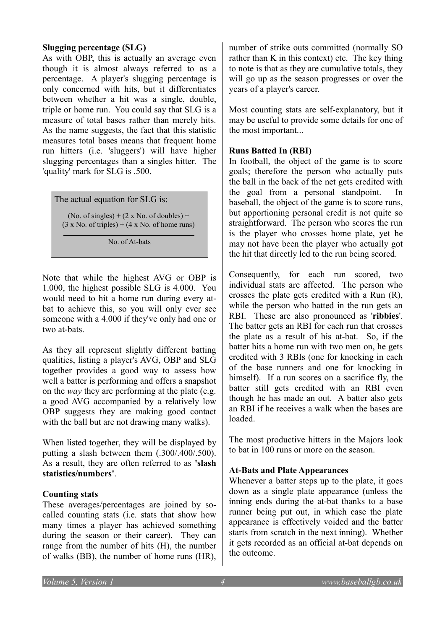#### **Slugging percentage (SLG)**

As with OBP, this is actually an average even though it is almost always referred to as a percentage. A player's slugging percentage is only concerned with hits, but it differentiates between whether a hit was a single, double, triple or home run. You could say that SLG is a measure of total bases rather than merely hits. As the name suggests, the fact that this statistic measures total bases means that frequent home run hitters (i.e. 'sluggers') will have higher slugging percentages than a singles hitter. The 'quality' mark for SLG is .500.

The actual equation for SLG is:

(No. of singles)  $+ (2 \times$  No. of doubles)  $+$  $(3 \times$  No. of triples) +  $(4 \times$  No. of home runs)

No. of At-bats

Note that while the highest AVG or OBP is 1.000, the highest possible SLG is 4.000. You would need to hit a home run during every atbat to achieve this, so you will only ever see someone with a 4.000 if they've only had one or two at-bats.

As they all represent slightly different batting qualities, listing a player's AVG, OBP and SLG together provides a good way to assess how well a batter is performing and offers a snapshot on the *way* they are performing at the plate (e.g. a good AVG accompanied by a relatively low OBP suggests they are making good contact with the ball but are not drawing many walks).

When listed together, they will be displayed by putting a slash between them (.300/.400/.500). As a result, they are often referred to as **'slash statistics/numbers'**.

#### **Counting stats**

These averages/percentages are joined by socalled counting stats (i.e. stats that show how many times a player has achieved something during the season or their career). They can range from the number of hits (H), the number of walks (BB), the number of home runs (HR),

number of strike outs committed (normally SO rather than K in this context) etc. The key thing to note is that as they are cumulative totals, they will go up as the season progresses or over the years of a player's career.

Most counting stats are self-explanatory, but it may be useful to provide some details for one of the most important...

#### **Runs Batted In (RBI)**

In football, the object of the game is to score goals; therefore the person who actually puts the ball in the back of the net gets credited with the goal from a personal standpoint. In baseball, the object of the game is to score runs, but apportioning personal credit is not quite so straightforward. The person who scores the run is the player who crosses home plate, yet he may not have been the player who actually got the hit that directly led to the run being scored.

Consequently, for each run scored, two individual stats are affected. The person who crosses the plate gets credited with a Run (R), while the person who batted in the run gets an RBI. These are also pronounced as '**ribbies**'. The batter gets an RBI for each run that crosses the plate as a result of his at-bat. So, if the batter hits a home run with two men on, he gets credited with 3 RBIs (one for knocking in each of the base runners and one for knocking in himself). If a run scores on a sacrifice fly, the batter still gets credited with an RBI even though he has made an out. A batter also gets an RBI if he receives a walk when the bases are loaded.

The most productive hitters in the Majors look to bat in 100 runs or more on the season.

#### **At-Bats and Plate Appearances**

Whenever a batter steps up to the plate, it goes down as a single plate appearance (unless the inning ends during the at-bat thanks to a base runner being put out, in which case the plate appearance is effectively voided and the batter starts from scratch in the next inning). Whether it gets recorded as an official at-bat depends on the outcome.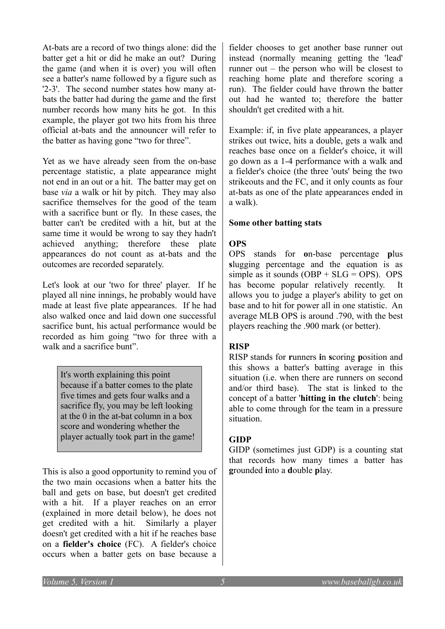At-bats are a record of two things alone: did the batter get a hit or did he make an out? During the game (and when it is over) you will often see a batter's name followed by a figure such as '2-3'. The second number states how many atbats the batter had during the game and the first number records how many hits he got. In this example, the player got two hits from his three official at-bats and the announcer will refer to the batter as having gone "two for three".

Yet as we have already seen from the on-base percentage statistic, a plate appearance might not end in an out or a hit. The batter may get on base *via* a walk or hit by pitch. They may also sacrifice themselves for the good of the team with a sacrifice bunt or fly. In these cases, the batter can't be credited with a hit, but at the same time it would be wrong to say they hadn't achieved anything; therefore these plate appearances do not count as at-bats and the outcomes are recorded separately.

Let's look at our 'two for three' player. If he played all nine innings, he probably would have made at least five plate appearances. If he had also walked once and laid down one successful sacrifice bunt, his actual performance would be recorded as him going "two for three with a walk and a sacrifice bunt".

> It's worth explaining this point because if a batter comes to the plate five times and gets four walks and a sacrifice fly, you may be left looking at the 0 in the at-bat column in a box score and wondering whether the player actually took part in the game!

This is also a good opportunity to remind you of the two main occasions when a batter hits the ball and gets on base, but doesn't get credited with a hit. If a player reaches on an error (explained in more detail below), he does not get credited with a hit. Similarly a player doesn't get credited with a hit if he reaches base on a **fielder's choice** (FC). A fielder's choice occurs when a batter gets on base because a

fielder chooses to get another base runner out instead (normally meaning getting the 'lead' runner out – the person who will be closest to reaching home plate and therefore scoring a run). The fielder could have thrown the batter out had he wanted to; therefore the batter shouldn't get credited with a hit.

Example: if, in five plate appearances, a player strikes out twice, hits a double, gets a walk and reaches base once on a fielder's choice, it will go down as a 1-4 performance with a walk and a fielder's choice (the three 'outs' being the two strikeouts and the FC, and it only counts as four at-bats as one of the plate appearances ended in a walk).

#### **Some other batting stats**

# **OPS**

OPS stands for **o**n-base percentage **p**lus **s**lugging percentage and the equation is as simple as it sounds  $(OBP + SLG = OPS)$ . OPS has become popular relatively recently. It allows you to judge a player's ability to get on base and to hit for power all in one statistic. An average MLB OPS is around .790, with the best players reaching the .900 mark (or better).

#### **RISP**

RISP stands for **r**unners **i**n **s**coring **p**osition and this shows a batter's batting average in this situation (i.e. when there are runners on second and/or third base). The stat is linked to the concept of a batter '**hitting in the clutch**': being able to come through for the team in a pressure situation.

#### **GIDP**

GIDP (sometimes just GDP) is a counting stat that records how many times a batter has **g**rounded **i**nto a **d**ouble **p**lay.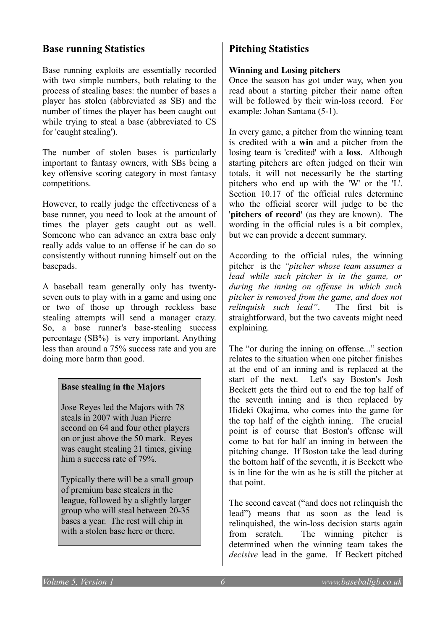# **Base running Statistics**

Base running exploits are essentially recorded with two simple numbers, both relating to the process of stealing bases: the number of bases a player has stolen (abbreviated as SB) and the number of times the player has been caught out while trying to steal a base (abbreviated to CS for 'caught stealing').

The number of stolen bases is particularly important to fantasy owners, with SBs being a key offensive scoring category in most fantasy competitions.

However, to really judge the effectiveness of a base runner, you need to look at the amount of times the player gets caught out as well. Someone who can advance an extra base only really adds value to an offense if he can do so consistently without running himself out on the basepads.

A baseball team generally only has twentyseven outs to play with in a game and using one or two of those up through reckless base stealing attempts will send a manager crazy. So, a base runner's base-stealing success percentage (SB%) is very important. Anything less than around a 75% success rate and you are doing more harm than good.

#### **Base stealing in the Majors**

Jose Reyes led the Majors with 78 steals in 2007 with Juan Pierre second on 64 and four other players on or just above the 50 mark. Reyes was caught stealing 21 times, giving him a success rate of 79%.

Typically there will be a small group of premium base stealers in the league, followed by a slightly larger group who will steal between 20-35 bases a year. The rest will chip in with a stolen base here or there.

# **Pitching Statistics**

#### **Winning and Losing pitchers**

Once the season has got under way, when you read about a starting pitcher their name often will be followed by their win-loss record. For example: Johan Santana (5-1).

In every game, a pitcher from the winning team is credited with a **win** and a pitcher from the losing team is 'credited' with a **loss**. Although starting pitchers are often judged on their win totals, it will not necessarily be the starting pitchers who end up with the 'W' or the 'L'. Section 10.17 of the official rules determine who the official scorer will judge to be the '**pitchers of record**' (as they are known). The wording in the official rules is a bit complex, but we can provide a decent summary.

According to the official rules, the winning pitcher is the *"pitcher whose team assumes a lead while such pitcher is in the game, or during the inning on offense in which such pitcher is removed from the game, and does not relinquish such lead"*. The first bit is straightforward, but the two caveats might need explaining.

The "or during the inning on offense..." section relates to the situation when one pitcher finishes at the end of an inning and is replaced at the start of the next. Let's say Boston's Josh Beckett gets the third out to end the top half of the seventh inning and is then replaced by Hideki Okajima, who comes into the game for the top half of the eighth inning. The crucial point is of course that Boston's offense will come to bat for half an inning in between the pitching change. If Boston take the lead during the bottom half of the seventh, it is Beckett who is in line for the win as he is still the pitcher at that point.

The second caveat ("and does not relinquish the lead") means that as soon as the lead is relinquished, the win-loss decision starts again from scratch. The winning pitcher is determined when the winning team takes the *decisive* lead in the game. If Beckett pitched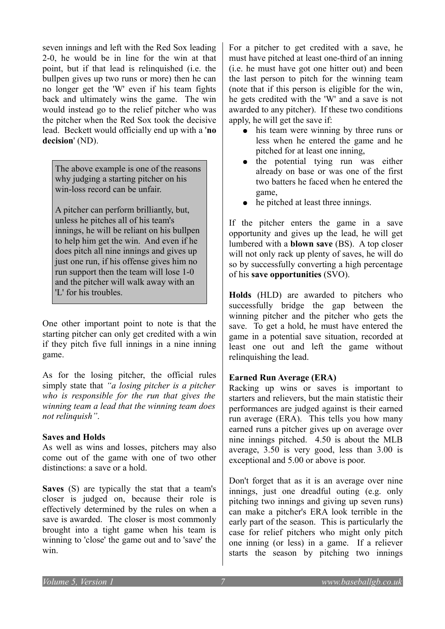seven innings and left with the Red Sox leading 2-0, he would be in line for the win at that point, but if that lead is relinquished (i.e. the bullpen gives up two runs or more) then he can no longer get the 'W' even if his team fights back and ultimately wins the game. The win would instead go to the relief pitcher who was the pitcher when the Red Sox took the decisive lead. Beckett would officially end up with a '**no decision**' (ND).

The above example is one of the reasons why judging a starting pitcher on his win-loss record can be unfair.

A pitcher can perform brilliantly, but, unless he pitches all of his team's innings, he will be reliant on his bullpen to help him get the win. And even if he does pitch all nine innings and gives up just one run, if his offense gives him no run support then the team will lose 1-0 and the pitcher will walk away with an 'L' for his troubles.

One other important point to note is that the starting pitcher can only get credited with a win if they pitch five full innings in a nine inning game.

As for the losing pitcher, the official rules simply state that *"a losing pitcher is a pitcher who is responsible for the run that gives the winning team a lead that the winning team does not relinquish"*.

#### **Saves and Holds**

As well as wins and losses, pitchers may also come out of the game with one of two other distinctions: a save or a hold.

**Saves** (S) are typically the stat that a team's closer is judged on, because their role is effectively determined by the rules on when a save is awarded. The closer is most commonly brought into a tight game when his team is winning to 'close' the game out and to 'save' the win.

For a pitcher to get credited with a save, he must have pitched at least one-third of an inning (i.e. he must have got one hitter out) and been the last person to pitch for the winning team (note that if this person is eligible for the win, he gets credited with the 'W' and a save is not awarded to any pitcher). If these two conditions apply, he will get the save if:

- his team were winning by three runs or less when he entered the game and he pitched for at least one inning,
- the potential tying run was either already on base or was one of the first two batters he faced when he entered the game,
- he pitched at least three innings.

If the pitcher enters the game in a save opportunity and gives up the lead, he will get lumbered with a **blown save** (BS). A top closer will not only rack up plenty of saves, he will do so by successfully converting a high percentage of his **save opportunities** (SVO).

**Holds** (HLD) are awarded to pitchers who successfully bridge the gap between the winning pitcher and the pitcher who gets the save. To get a hold, he must have entered the game in a potential save situation, recorded at least one out and left the game without relinquishing the lead.

#### **Earned Run Average (ERA)**

Racking up wins or saves is important to starters and relievers, but the main statistic their performances are judged against is their earned run average (ERA). This tells you how many earned runs a pitcher gives up on average over nine innings pitched. 4.50 is about the MLB average, 3.50 is very good, less than 3.00 is exceptional and 5.00 or above is poor.

Don't forget that as it is an average over nine innings, just one dreadful outing (e.g. only pitching two innings and giving up seven runs) can make a pitcher's ERA look terrible in the early part of the season. This is particularly the case for relief pitchers who might only pitch one inning (or less) in a game. If a reliever starts the season by pitching two innings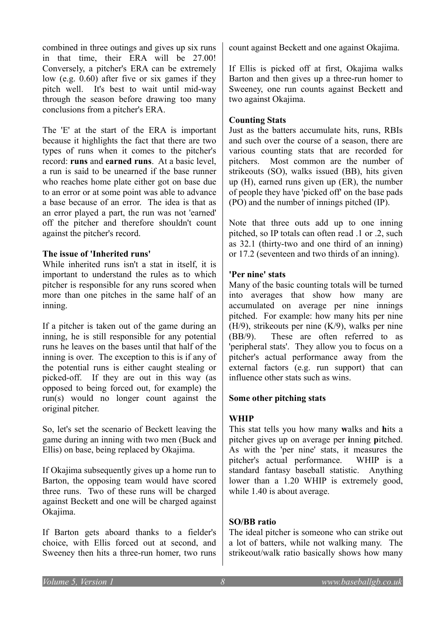combined in three outings and gives up six runs in that time, their ERA will be 27.00! Conversely, a pitcher's ERA can be extremely low (e.g. 0.60) after five or six games if they pitch well. It's best to wait until mid-way through the season before drawing too many conclusions from a pitcher's ERA.

The 'E' at the start of the ERA is important because it highlights the fact that there are two types of runs when it comes to the pitcher's record: **runs** and **earned runs**. At a basic level, a run is said to be unearned if the base runner who reaches home plate either got on base due to an error or at some point was able to advance a base because of an error. The idea is that as an error played a part, the run was not 'earned' off the pitcher and therefore shouldn't count against the pitcher's record.

#### **The issue of 'Inherited runs'**

While inherited runs isn't a stat in itself, it is important to understand the rules as to which pitcher is responsible for any runs scored when more than one pitches in the same half of an inning.

If a pitcher is taken out of the game during an inning, he is still responsible for any potential runs he leaves on the bases until that half of the inning is over. The exception to this is if any of the potential runs is either caught stealing or picked-off. If they are out in this way (as opposed to being forced out, for example) the run(s) would no longer count against the original pitcher.

So, let's set the scenario of Beckett leaving the game during an inning with two men (Buck and Ellis) on base, being replaced by Okajima.

If Okajima subsequently gives up a home run to Barton, the opposing team would have scored three runs. Two of these runs will be charged against Beckett and one will be charged against Okajima.

If Barton gets aboard thanks to a fielder's choice, with Ellis forced out at second, and Sweeney then hits a three-run homer, two runs count against Beckett and one against Okajima.

If Ellis is picked off at first, Okajima walks Barton and then gives up a three-run homer to Sweeney, one run counts against Beckett and two against Okajima.

#### **Counting Stats**

Just as the batters accumulate hits, runs, RBIs and such over the course of a season, there are various counting stats that are recorded for pitchers. Most common are the number of strikeouts (SO), walks issued (BB), hits given up (H), earned runs given up (ER), the number of people they have 'picked off' on the base pads (PO) and the number of innings pitched (IP).

Note that three outs add up to one inning pitched, so IP totals can often read .1 or .2, such as 32.1 (thirty-two and one third of an inning) or 17.2 (seventeen and two thirds of an inning).

#### **'Per nine' stats**

Many of the basic counting totals will be turned into averages that show how many are accumulated on average per nine innings pitched. For example: how many hits per nine (H/9), strikeouts per nine (K/9), walks per nine (BB/9). These are often referred to as 'peripheral stats'. They allow you to focus on a pitcher's actual performance away from the external factors (e.g. run support) that can influence other stats such as wins.

#### **Some other pitching stats**

#### **WHIP**

This stat tells you how many **w**alks and **h**its a pitcher gives up on average per **i**nning **p**itched. As with the 'per nine' stats, it measures the pitcher's actual performance. WHIP is a standard fantasy baseball statistic. Anything lower than a 1.20 WHIP is extremely good, while 1.40 is about average.

#### **SO/BB ratio**

The ideal pitcher is someone who can strike out a lot of batters, while not walking many. The strikeout/walk ratio basically shows how many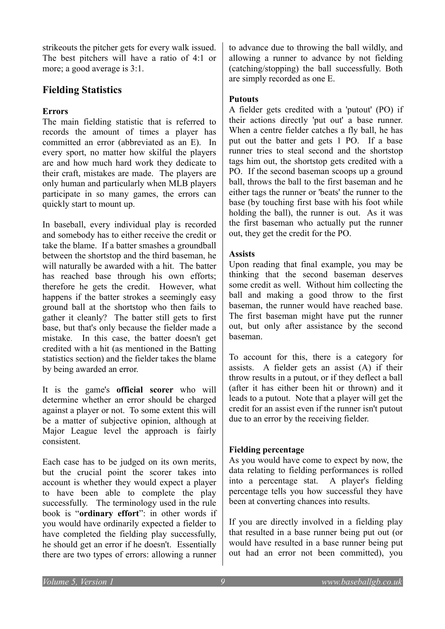strikeouts the pitcher gets for every walk issued. The best pitchers will have a ratio of 4:1 or more; a good average is 3:1.

# **Fielding Statistics**

#### **Errors**

The main fielding statistic that is referred to records the amount of times a player has committed an error (abbreviated as an E). In every sport, no matter how skilful the players are and how much hard work they dedicate to their craft, mistakes are made. The players are only human and particularly when MLB players participate in so many games, the errors can quickly start to mount up.

In baseball, every individual play is recorded and somebody has to either receive the credit or take the blame. If a batter smashes a groundball between the shortstop and the third baseman, he will naturally be awarded with a hit. The batter has reached base through his own efforts; therefore he gets the credit. However, what happens if the batter strokes a seemingly easy ground ball at the shortstop who then fails to gather it cleanly? The batter still gets to first base, but that's only because the fielder made a mistake. In this case, the batter doesn't get credited with a hit (as mentioned in the Batting statistics section) and the fielder takes the blame by being awarded an error.

It is the game's **official scorer** who will determine whether an error should be charged against a player or not. To some extent this will be a matter of subjective opinion, although at Major League level the approach is fairly consistent.

Each case has to be judged on its own merits, but the crucial point the scorer takes into account is whether they would expect a player to have been able to complete the play successfully. The terminology used in the rule book is "**ordinary effort**": in other words if you would have ordinarily expected a fielder to have completed the fielding play successfully, he should get an error if he doesn't. Essentially there are two types of errors: allowing a runner to advance due to throwing the ball wildly, and allowing a runner to advance by not fielding (catching/stopping) the ball successfully. Both are simply recorded as one E.

#### **Putouts**

A fielder gets credited with a 'putout' (PO) if their actions directly 'put out' a base runner. When a centre fielder catches a fly ball, he has put out the batter and gets 1 PO. If a base runner tries to steal second and the shortstop tags him out, the shortstop gets credited with a PO. If the second baseman scoops up a ground ball, throws the ball to the first baseman and he either tags the runner or 'beats' the runner to the base (by touching first base with his foot while holding the ball), the runner is out. As it was the first baseman who actually put the runner out, they get the credit for the PO.

#### **Assists**

Upon reading that final example, you may be thinking that the second baseman deserves some credit as well. Without him collecting the ball and making a good throw to the first baseman, the runner would have reached base. The first baseman might have put the runner out, but only after assistance by the second baseman.

To account for this, there is a category for assists. A fielder gets an assist (A) if their throw results in a putout, or if they deflect a ball (after it has either been hit or thrown) and it leads to a putout. Note that a player will get the credit for an assist even if the runner isn't putout due to an error by the receiving fielder.

# **Fielding percentage**

As you would have come to expect by now, the data relating to fielding performances is rolled into a percentage stat. A player's fielding percentage tells you how successful they have been at converting chances into results.

If you are directly involved in a fielding play that resulted in a base runner being put out (or would have resulted in a base runner being put out had an error not been committed), you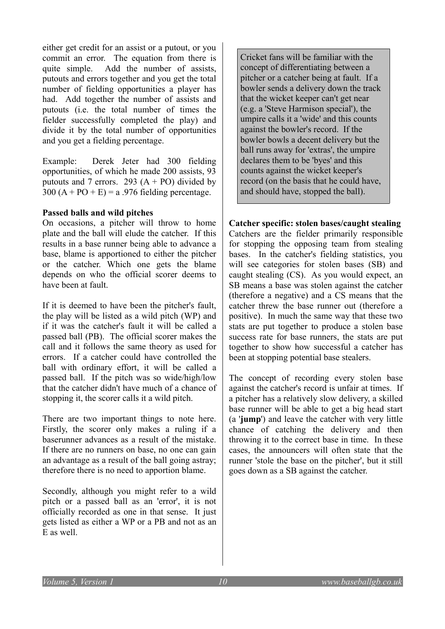either get credit for an assist or a putout, or you commit an error. The equation from there is quite simple. Add the number of assists, putouts and errors together and you get the total number of fielding opportunities a player has had. Add together the number of assists and putouts (i.e. the total number of times the fielder successfully completed the play) and divide it by the total number of opportunities and you get a fielding percentage.

Example: Derek Jeter had 300 fielding opportunities, of which he made 200 assists, 93 putouts and 7 errors. 293  $(A + PO)$  divided by  $300 (A + PO + E) = a.976$  fielding percentage.

#### **Passed balls and wild pitches**

On occasions, a pitcher will throw to home plate and the ball will elude the catcher. If this results in a base runner being able to advance a base, blame is apportioned to either the pitcher or the catcher. Which one gets the blame depends on who the official scorer deems to have been at fault.

If it is deemed to have been the pitcher's fault, the play will be listed as a wild pitch (WP) and if it was the catcher's fault it will be called a passed ball (PB). The official scorer makes the call and it follows the same theory as used for errors. If a catcher could have controlled the ball with ordinary effort, it will be called a passed ball. If the pitch was so wide/high/low that the catcher didn't have much of a chance of stopping it, the scorer calls it a wild pitch.

There are two important things to note here. Firstly, the scorer only makes a ruling if a baserunner advances as a result of the mistake. If there are no runners on base, no one can gain an advantage as a result of the ball going astray; therefore there is no need to apportion blame.

Secondly, although you might refer to a wild pitch or a passed ball as an 'error', it is not officially recorded as one in that sense. It just gets listed as either a WP or a PB and not as an E as well.

Cricket fans will be familiar with the concept of differentiating between a pitcher or a catcher being at fault. If a bowler sends a delivery down the track that the wicket keeper can't get near (e.g. a 'Steve Harmison special'), the umpire calls it a 'wide' and this counts against the bowler's record. If the bowler bowls a decent delivery but the ball runs away for 'extras', the umpire declares them to be 'byes' and this counts against the wicket keeper's record (on the basis that he could have, and should have, stopped the ball).

**Catcher specific: stolen bases/caught stealing** Catchers are the fielder primarily responsible for stopping the opposing team from stealing bases. In the catcher's fielding statistics, you will see categories for stolen bases (SB) and caught stealing (CS). As you would expect, an SB means a base was stolen against the catcher (therefore a negative) and a CS means that the catcher threw the base runner out (therefore a positive). In much the same way that these two stats are put together to produce a stolen base success rate for base runners, the stats are put together to show how successful a catcher has been at stopping potential base stealers.

The concept of recording every stolen base against the catcher's record is unfair at times. If a pitcher has a relatively slow delivery, a skilled base runner will be able to get a big head start (a '**jump**') and leave the catcher with very little chance of catching the delivery and then throwing it to the correct base in time. In these cases, the announcers will often state that the runner 'stole the base on the pitcher', but it still goes down as a SB against the catcher.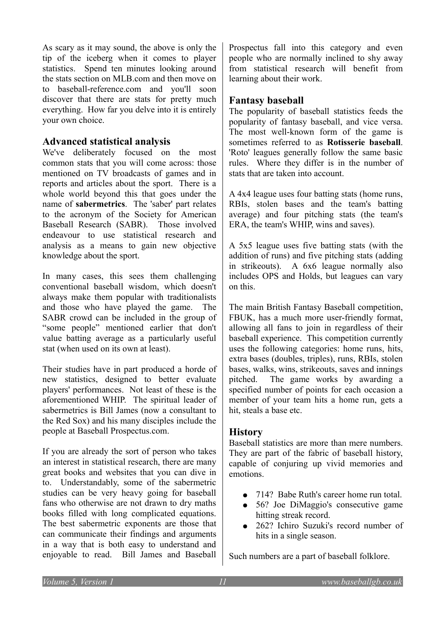As scary as it may sound, the above is only the tip of the iceberg when it comes to player statistics. Spend ten minutes looking around the stats section on MLB.com and then move on to baseball-reference.com and you'll soon discover that there are stats for pretty much everything. How far you delve into it is entirely your own choice.

# **Advanced statistical analysis**

We've deliberately focused on the most common stats that you will come across: those mentioned on TV broadcasts of games and in reports and articles about the sport. There is a whole world beyond this that goes under the name of **sabermetrics**. The 'saber' part relates to the acronym of the Society for American Baseball Research (SABR). Those involved endeavour to use statistical research and analysis as a means to gain new objective knowledge about the sport.

In many cases, this sees them challenging conventional baseball wisdom, which doesn't always make them popular with traditionalists and those who have played the game. The SABR crowd can be included in the group of "some people" mentioned earlier that don't value batting average as a particularly useful stat (when used on its own at least).

Their studies have in part produced a horde of new statistics, designed to better evaluate players' performances. Not least of these is the aforementioned WHIP. The spiritual leader of sabermetrics is Bill James (now a consultant to the Red Sox) and his many disciples include the people at Baseball Prospectus.com.

If you are already the sort of person who takes an interest in statistical research, there are many great books and websites that you can dive in to. Understandably, some of the sabermetric studies can be very heavy going for baseball fans who otherwise are not drawn to dry maths books filled with long complicated equations. The best sabermetric exponents are those that can communicate their findings and arguments in a way that is both easy to understand and enjoyable to read. Bill James and Baseball

Prospectus fall into this category and even people who are normally inclined to shy away from statistical research will benefit from learning about their work.

# **Fantasy baseball**

The popularity of baseball statistics feeds the popularity of fantasy baseball, and vice versa. The most well-known form of the game is sometimes referred to as **Rotisserie baseball**. 'Roto' leagues generally follow the same basic rules. Where they differ is in the number of stats that are taken into account.

A 4x4 league uses four batting stats (home runs, RBIs, stolen bases and the team's batting average) and four pitching stats (the team's ERA, the team's WHIP, wins and saves).

A 5x5 league uses five batting stats (with the addition of runs) and five pitching stats (adding in strikeouts). A 6x6 league normally also includes OPS and Holds, but leagues can vary on this.

The main British Fantasy Baseball competition, FBUK, has a much more user-friendly format, allowing all fans to join in regardless of their baseball experience. This competition currently uses the following categories: home runs, hits, extra bases (doubles, triples), runs, RBIs, stolen bases, walks, wins, strikeouts, saves and innings pitched. The game works by awarding a specified number of points for each occasion a member of your team hits a home run, gets a hit, steals a base etc.

# **History**

Baseball statistics are more than mere numbers. They are part of the fabric of baseball history, capable of conjuring up vivid memories and emotions.

- 714? Babe Ruth's career home run total.
- 56? Joe DiMaggio's consecutive game hitting streak record.
- 262? Ichiro Suzuki's record number of hits in a single season.

Such numbers are a part of baseball folklore.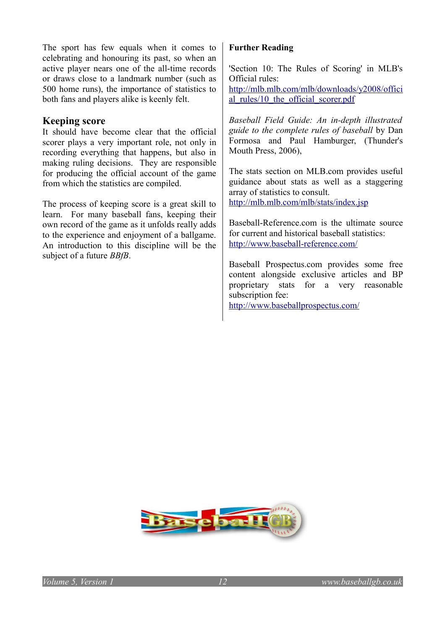The sport has few equals when it comes to celebrating and honouring its past, so when an active player nears one of the all-time records or draws close to a landmark number (such as 500 home runs), the importance of statistics to both fans and players alike is keenly felt.

### **Keeping score**

It should have become clear that the official scorer plays a very important role, not only in recording everything that happens, but also in making ruling decisions. They are responsible for producing the official account of the game from which the statistics are compiled.

The process of keeping score is a great skill to learn. For many baseball fans, keeping their own record of the game as it unfolds really adds to the experience and enjoyment of a ballgame. An introduction to this discipline will be the subject of a future *BBfB*.

#### **Further Reading**

'Section 10: The Rules of Scoring' in MLB's Official rules:

[http://mlb.mlb.com/mlb/downloads/y2008/offici](http://mlb.mlb.com/mlb/downloads/y2008/official_rules/10_the_official_scorer.pdf) [al\\_rules/10\\_the\\_official\\_scorer.pdf](http://mlb.mlb.com/mlb/downloads/y2008/official_rules/10_the_official_scorer.pdf)

*Baseball Field Guide: An in-depth illustrated guide to the complete rules of baseball* by Dan Formosa and Paul Hamburger, (Thunder's Mouth Press, 2006),

The stats section on MLB.com provides useful guidance about stats as well as a staggering array of statistics to consult. <http://mlb.mlb.com/mlb/stats/index.jsp>

Baseball-Reference com is the ultimate source for current and historical baseball statistics: <http://www.baseball-reference.com/>

Baseball Prospectus.com provides some free content alongside exclusive articles and BP proprietary stats for a very reasonable subscription fee:

<http://www.baseballprospectus.com/>